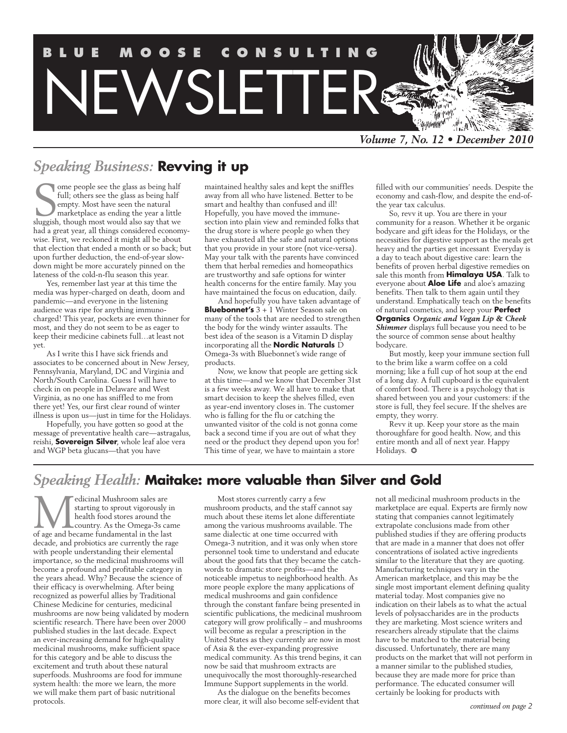

# *Speaking Business:* **Revving it up**

Some people see the glass as being half<br>full; others see the glass as being half<br>empty. Most have seen the natural<br>marketplace as ending the year a little<br>sluggish, though most would also say that we ome people see the glass as being half full; others see the glass as being half empty. Most have seen the natural marketplace as ending the year a little had a great year, all things considered economywise. First, we reckoned it might all be about that election that ended a month or so back; but upon further deduction, the end-of-year slowdown might be more accurately pinned on the lateness of the cold-n-flu season this year.

Yes, remember last year at this time the media was hyper-charged on death, doom and pandemic—and everyone in the listening audience was ripe for anything immunocharged! This year, pockets are even thinner for most, and they do not seem to be as eager to keep their medicine cabinets full…at least not yet.

As I write this I have sick friends and associates to be concerned about in New Jersey, Pennsylvania, Maryland, DC and Virginia and North/South Carolina. Guess I will have to check in on people in Delaware and West Virginia, as no one has sniffled to me from there yet! Yes, our first clear round of winter illness is upon us—just in time for the Holidays.

Hopefully, you have gotten so good at the message of preventative health care—astragalus, reishi, **Sovereign Silver**, whole leaf aloe vera and WGP beta glucans—that you have

maintained healthy sales and kept the sniffles away from all who have listened. Better to be smart and healthy than confused and ill! Hopefully, you have moved the immunesection into plain view and reminded folks that the drug store is where people go when they have exhausted all the safe and natural options that you provide in your store (not vice-versa). May your talk with the parents have convinced them that herbal remedies and homeopathics are trustworthy and safe options for winter health concerns for the entire family. May you have maintained the focus on education, daily.

And hopefully you have taken advantage of **Bluebonnet's** 3 + 1 Winter Season sale on many of the tools that are needed to strengthen the body for the windy winter assaults. The best idea of the season is a Vitamin D display incorporating all the **Nordic Naturals** D Omega-3s with Bluebonnet's wide range of products.

Now, we know that people are getting sick at this time—and we know that December 31st is a few weeks away. We all have to make that smart decision to keep the shelves filled, even as year-end inventory closes in. The customer who is falling for the flu or catching the unwanted visitor of the cold is not gonna come back a second time if you are out of what they need or the product they depend upon you for! This time of year, we have to maintain a store

filled with our communities' needs. Despite the economy and cash-flow, and despite the end-ofthe year tax calculus.

So, revv it up. You are there in your community for a reason. Whether it be organic bodycare and gift ideas for the Holidays, or the necessities for digestive support as the meals get heavy and the parties get incessant Everyday is a day to teach about digestive care: learn the benefits of proven herbal digestive remedies on sale this month from **Himalaya USA**. Talk to everyone about **Aloe Life** and aloe's amazing benefits. Then talk to them again until they understand. Emphatically teach on the benefits of natural cosmetics, and keep your **Perfect Organics** *Organic and Vegan Lip & Cheek Shimmer* displays full because you need to be the source of common sense about healthy bodycare.

But mostly, keep your immune section full to the brim like a warm coffee on a cold morning; like a full cup of hot soup at the end of a long day. A full cupboard is the equivalent of comfort food. There is a psychology that is shared between you and your customers: if the store is full, they feel secure. If the shelves are empty, they worry.

Revv it up. Keep your store as the main thoroughfare for good health. Now, and this entire month and all of next year. Happy Holidays. ❂

# *Speaking Health:* **Maitake: more valuable than Silver and Gold**

**M**edicinal Mushroom sales are starting to sprout vigorously in health food stores around the country. As the Omega-3s can of age and became fundamental in the last starting to sprout vigorously in health food stores around the country. As the Omega-3s came decade, and probiotics are currently the rage with people understanding their elemental importance, so the medicinal mushrooms will become a profound and profitable category in the years ahead. Why? Because the science of their efficacy is overwhelming. After being recognized as powerful allies by Traditional Chinese Medicine for centuries, medicinal mushrooms are now being validated by modern scientific research. There have been over 2000 published studies in the last decade. Expect an ever-increasing demand for high-quality medicinal mushrooms, make sufficient space for this category and be able to discuss the excitement and truth about these natural superfoods. Mushrooms are food for immune system health: the more we learn, the more we will make them part of basic nutritional protocols.

Most stores currently carry a few mushroom products, and the staff cannot say much about these items let alone differentiate among the various mushrooms available. The same dialectic at one time occurred with Omega-3 nutrition, and it was only when store personnel took time to understand and educate about the good fats that they became the catchwords to dramatic store profits—and the noticeable impetus to neighborhood health. As more people explore the many applications of medical mushrooms and gain confidence through the constant fanfare being presented in scientific publications, the medicinal mushroom category will grow prolifically – and mushrooms will become as regular a prescription in the United States as they currently are now in most of Asia & the ever-expanding progressive medical community. As this trend begins, it can now be said that mushroom extracts are unequivocally the most thoroughly-researched Immune Support supplements in the world.

As the dialogue on the benefits becomes more clear, it will also become self-evident that not all medicinal mushroom products in the marketplace are equal. Experts are firmly now stating that companies cannot legitimately extrapolate conclusions made from other published studies if they are offering products that are made in a manner that does not offer concentrations of isolated active ingredients similar to the literature that they are quoting. Manufacturing techniques vary in the American marketplace, and this may be the single most important element defining quality material today. Most companies give no indication on their labels as to what the actual levels of polysaccharides are in the products they are marketing. Most science writers and researchers already stipulate that the claims have to be matched to the material being discussed. Unfortunately, there are many products on the market that will not perform in a manner similar to the published studies, because they are made more for price than performance. The educated consumer will certainly be looking for products with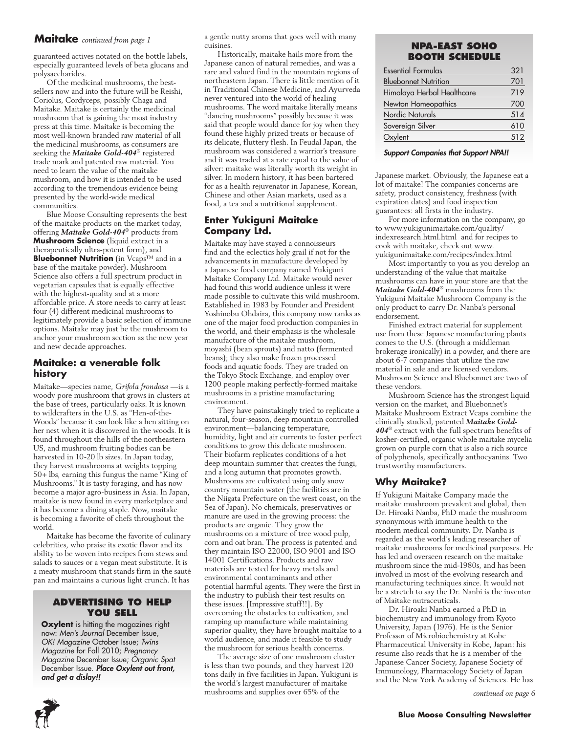### **Maitake** *continued from page 1*

guaranteed actives notated on the bottle labels, especially guaranteed levels of beta glucans and polysaccharides.

Of the medicinal mushrooms, the bestsellers now and into the future will be Reishi, Coriolus, Cordyceps, possibly Chaga and Maitake. Maitake is certainly the medicinal mushroom that is gaining the most industry press at this time. Maitake is becoming the most well-known branded raw material of all the medicinal mushrooms, as consumers are seeking the *Maitake Gold-404*® registered trade mark and patented raw material. You need to learn the value of the maitake mushroom, and how it is intended to be used according to the tremendous evidence being presented by the world-wide medical communities.

Blue Moose Consulting represents the best of the maitake products on the market today, offering *Maitake Gold-404*® products from **Mushroom Science** (liquid extract in a therapeutically ultra-potent form), and **Bluebonnet Nutrition** (in Vcaps™ and in a base of the maitake powder). Mushroom Science also offers a full spectrum product in vegetarian capsules that is equally effective with the highest-quality and at a more affordable price. A store needs to carry at least four (4) different medicinal mushrooms to legitimately provide a basic selection of immune options. Maitake may just be the mushroom to anchor your mushroom section as the new year and new decade approaches.

### **Maitake: a venerable folk history**

Maitake—species name, *Grifola frondosa* —is a woody pore mushroom that grows in clusters at the base of trees, particularly oaks. It is known to wildcrafters in the U.S. as "Hen-of-the-Woods" because it can look like a hen sitting on her nest when it is discovered in the woods. It is found throughout the hills of the northeastern US, and mushroom fruiting bodies can be harvested in 10-20 lb sizes. In Japan today, they harvest mushrooms at weights topping 50+ lbs, earning this fungus the name "King of Mushrooms." It is tasty foraging, and has now become a major agro-business in Asia. In Japan, maitake is now found in every marketplace and it has become a dining staple. Now, maitake is becoming a favorite of chefs throughout the world.

Maitake has become the favorite of culinary celebrities, who praise its exotic flavor and its ability to be woven into recipes from stews and salads to sauces or a vegan meat substitute. It is a meaty mushroom that stands firm in the sauté pan and maintains a curious light crunch. It has

#### **Advertising to Help You Sell**

**Oxylent** is hitting the magazines right now: *Men's Journal* December Issue, *OK! Magazine* October Issue; *Twins Magazine* for Fall 2010; *Pregnancy Magazine* December Issue; *Organic Spat* December Issue. *Place Oxylent out front, and get a dislay!!*

a gentle nutty aroma that goes well with many cuisines.

Historically, maitake hails more from the Japanese canon of natural remedies, and was a rare and valued find in the mountain regions of northeastern Japan. There is little mention of it in Traditional Chinese Medicine, and Ayurveda never ventured into the world of healing mushrooms. The word maitake literally means "dancing mushrooms" possibly because it was said that people would dance for joy when they found these highly prized treats or because of its delicate, fluttery flesh. In Feudal Japan, the mushroom was considered a warrior's treasure and it was traded at a rate equal to the value of silver: maitake was literally worth its weight in silver. In modern history, it has been bartered for as a health rejuvenator in Japanese, Korean, Chinese and other Asian markets, used as a food, a tea and a nutritional supplement.

### **Enter Yukiguni Maitake Company Ltd.**

Maitake may have stayed a connoisseurs find and the eclectics holy grail if not for the advancements in manufacture developed by a Japanese food company named Yukiguni Maitake Company Ltd. Maitake would never had found this world audience unless it were made possible to cultivate this wild mushroom. Established in 1983 by Founder and President Yoshinobu Ohdaira, this company now ranks as one of the major food production companies in the world, and their emphasis is the wholesale manufacture of the maitake mushroom, moyashi (bean sprouts) and natto (fermented beans); they also make frozen processed foods and aquatic foods. They are traded on the Tokyo Stock Exchange, and employ over 1200 people making perfectly-formed maitake mushrooms in a pristine manufacturing environment.

They have painstakingly tried to replicate a natural, four-season, deep mountain controlled environment—balancing temperature, humidity, light and air currents to foster perfect conditions to grow this delicate mushroom. Their biofarm replicates conditions of a hot deep mountain summer that creates the fungi, and a long autumn that promotes growth. Mushrooms are cultivated using only snow country mountain water (the facilities are in the Niigata Prefecture on the west coast, on the Sea of Japan). No chemicals, preservatives or manure are used in the growing process: the products are organic. They grow the mushrooms on a mixture of tree wood pulp, corn and oat bran. The process is patented and they maintain ISO 22000, ISO 9001 and ISO 14001 Certifications. Products and raw materials are tested for heavy metals and environmental contaminants and other potential harmful agents. They were the first in the industry to publish their test results on these issues. [Impressive stuff!!]. By overcoming the obstacles to cultivation, and ramping up manufacture while maintaining superior quality, they have brought maitake to a world audience, and made it feasible to study the mushroom for serious health concerns.

The average size of one mushroom cluster is less than two pounds, and they harvest 120 tons daily in five facilities in Japan. Yukiguni is the world's largest manufacturer of maitake mushrooms and supplies over 65% of the

### **NPA-EAST SOHO Booth Schedule**

| <b>Essential Formulas</b>   | 321 |
|-----------------------------|-----|
| <b>Bluebonnet Nutrition</b> | 701 |
| Himalaya Herbal Healthcare  | 719 |
| Newton Homeopathics         | 700 |
| Nordic Naturals             | 514 |
| Sovereign Silver            | 610 |
| Oxylent                     | 512 |
|                             |     |

#### *Support Companies that Support NPA!!*

Japanese market. Obviously, the Japanese eat a lot of maitake! The companies concerns are safety, product consistency, freshness (with expiration dates) and food inspection guarantees: all firsts in the industry.

For more information on the company, go to www.yukigunimaitake.com/quality/ indexresearch.html.html and for recipes to cook with maitake, check out www. yukigunimaitake.com/recipes/index.html

Most importantly to you as you develop an understanding of the value that maitake mushrooms can have in your store are that the *Maitake Gold-404*® mushrooms from the Yukiguni Maitake Mushroom Company is the only product to carry Dr. Nanba's personal endorsement.

Finished extract material for supplement use from these Japanese manufacturing plants comes to the U.S. (through a middleman brokerage ironically) in a powder, and there are about 6-7 companies that utilize the raw material in sale and are licensed vendors. Mushroom Science and Bluebonnet are two of these vendors.

Mushroom Science has the strongest liquid version on the market, and Bluebonnet's Maitake Mushroom Extract Vcaps combine the clinically studied, patented *Maitake Gold-404*® extract with the full spectrum benefits of kosher-certified, organic whole maitake mycelia grown on purple corn that is also a rich source of polyphenols, specifically anthocyanins. Two trustworthy manufacturers.

### **Why Maitake?**

If Yukiguni Maitake Company made the maitake mushroom prevalent and global, then Dr. Hiroaki Nanba, PhD made the mushroom synonymous with immune health to the modern medical community. Dr. Nanba is regarded as the world's leading researcher of maitake mushrooms for medicinal purposes. He has led and overseen research on the maitake mushroom since the mid-1980s, and has been involved in most of the evolving research and manufacturing techniques since. It would not be a stretch to say the Dr. Nanbi is the inventor of Maitake nutraceuticals.

Dr. Hiroaki Nanba earned a PhD in biochemistry and immunology from Kyoto University, Japan (1976). He is the Senior Professor of Microbiochemistry at Kobe Pharmaceutical University in Kobe, Japan: his resume also reads that he is a member of the Japanese Cancer Society, Japanese Society of Immunology, Pharmacology Society of Japan and the New York Academy of Sciences. He has

*continued on page 6*

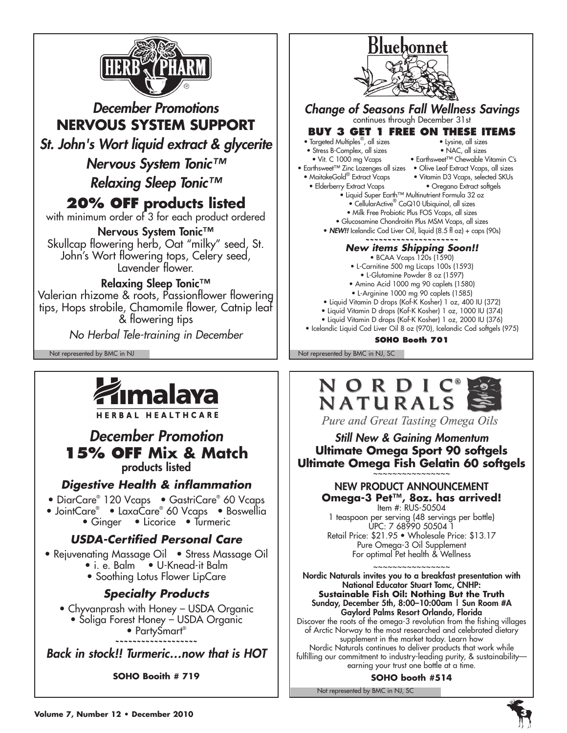

# *December Promotions* **NERVOUS SYSTEM SUPPORT** *St. John's Wort liquid extract & glycerite Nervous System Tonic™ Relaxing Sleep Tonic™* **20% Off products listed** with minimum order of 3 for each product ordered Nervous System Tonic™ Skullcap flowering herb, Oat "milky" seed, St. John's Wort flowering tops, Celery seed, Lavender flower. Relaxing Sleep Tonic™ Valerian rhizome & roots, Passionflower flowering tips, Hops strobile, Chamomile flower, Catnip leaf & flowering tips *No Herbal Tele-training in December*



**HERBAL HEALTHCARE** 

# *December Promotion*  **15% OFF Mix & Match** products listed

# *Digestive Health & inflammation*

- DiarCare® 120 Vcaps GastriCare® 60 Vcaps
- JointCare® LaxaCare® 60 Vcaps Boswellia
	- Ginger Licorice Turmeric

# *USDA-Certified Personal Care*

- Rejuvenating Massage Oil Stress Massage Oil
	- i. e. Balm U-Knead-it Balm
	- Soothing Lotus Flower LipCare

# *Specialty Products*

- Chyvanprash with Honey USDA Organic
	- Soliga Forest Honey USDA Organic

• PartySmart<sup>®</sup>

**~~~~~~~~~~~~~~~~~~~**

*Back in stock!! Turmeric…now that is HOT*

**SOHO Booith # 719**



• Liquid Vitamin D drops (Kof-K Kosher) 1 oz, 2000 IU (376) • Icelandic Liquid Cod Liver Oil 8 oz (970), Icelandic Cod softgels (975)

**SOHO Booth 701**

Not represented by BMC in NJ Not represented by BMC in NJ, SC



Pure and Great Tasting Omega Oils

### *Still New & Gaining Momentum* **Ultimate Omega Sport 90 softgels Ultimate Omega Fish Gelatin 60 softgels** ~~~~~~~~~~~~~~~~

# NEW PRODUCT ANNOUNCEMENT **Omega-3 Pet™, 8oz. has arrived!**

Item #: RUS-50504 1 teaspoon per serving (48 servings per bottle) UPC: 7 68990 50504 1 Retail Price: \$21.95 • Wholesale Price: \$13.17 Pure Omega-3 Oil Supplement For optimal Pet health & Wellness

~~~~~~~~~~~~~~~~ Nordic Naturals invites you to a breakfast presentation with National Educator Stuart Tomc, CNHP: **Sustainable Fish Oil: Nothing But the Truth** Sunday, December 5th, 8:00-10:00am | Sun Room #A Gaylord Palms Resort Orlando, Florida

Discover the roots of the omega-3 revolution from the fishing villages of Arctic Norway to the most researched and celebrated dietary supplement in the market today. Learn how Nordic Naturals continues to deliver products that work while fulfilling our commitment to industry-leading purity, & sustainability earning your trust one bottle at a time.

**SOHO booth #514**

Not represented by BMC in NJ, SC

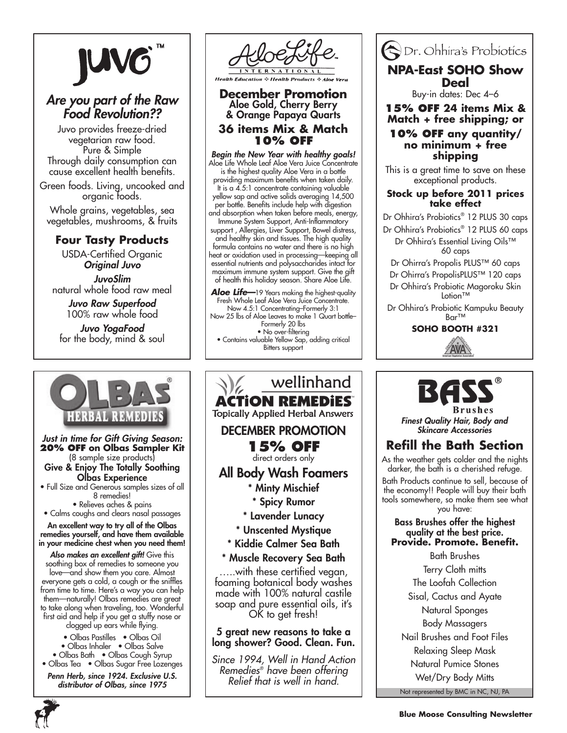

# *Are you part of the Raw Food Revolution??*

Juvo provides freeze-dried vegetarian raw food. Pure & Simple Through daily consumption can cause excellent health benefits.

Green foods. Living, uncooked and organic foods.

Whole grains, vegetables, sea vegetables, mushrooms, & fruits

# **Four Tasty Products**

USDA-Certified Organic *Original Juvo*

*JuvoSlim* natural whole food raw meal

> *Juvo Raw Superfood* 100% raw whole food

*Juvo YogaFood* for the body, mind & soul



*Just in time for Gift Giving Season:* **20% Off on Olbas Sampler Kit**  (8 sample size products) Give & Enjoy The Totally Soothing Olbas Experience

• Full Size and Generous samples sizes of all 8 remedies!

• Relieves aches & pains • Calms coughs and clears nasal passages

An excellent way to try all of the Olbas remedies yourself, and have them available in your medicine chest when you need them!

*Also makes an excellent gift!* Give this soothing box of remedies to someone you love—and show them you care. Almost everyone gets a cold, a cough or the sniffles from time to time. Here's a way you can help them—naturally! Olbas remedies are great to take along when traveling, too. Wonderful first aid and help if you get a stuffy nose or clogged up ears while flying.

• Olbas Pastilles • Olbas Oil

• Olbas Inhaler • Olbas Salve

• Olbas Bath • Olbas Cough Syrup • Olbas Tea • Olbas Sugar Free Lozenges *Penn Herb, since 1924. Exclusive U.S. distributor of Olbas, since 1975*



**December Promotion** Aloe Gold, Cherry Berry & Orange Papaya Quarts **36 items Mix & Match 10% off**

*Begin the New Year with healthy goals!* Aloe Life Whole Leaf Aloe Vera Juice Concentrate is the highest quality Aloe Vera in a bottle providing maximum benefits when taken daily. It is a 4.5:1 concentrate containing valuable yellow sap and active solids averaging 14,500 per bottle. Benefits include help with digestion and absorption when taken before meals, energy, Immune System Support, Anti-Inflammatory support, Allergies, Liver Support, Bowel distress, and healthy skin and tissues. The high quality formula contains no water and there is no high heat or oxidation used in processing—keeping all essential nutrients and polysaccharides intact for maximum immune system support. Give the gift of health this holiday season. Share Aloe Life.

Aloe Life-19 Years making the highest-quality Fresh Whole Leaf Aloe Vera Juice Concentrate. Now 4.5:1 Concentrating–Formerly 3:1 Now 25 lbs of Aloe Leaves to make 1 Quart bottle– Formerly 20 lbs • No over-filtering • Contains valuable Yellow Sap, adding critical Bitters support





# **NPA-East SOHO Show Deal**

Buy-in dates: Dec 4–6

**15% off 24 items Mix & Match + free shipping; or**

### **10% off any quantity/ no minimum + free shipping**

This is a great time to save on these exceptional products.

**Stock up before 2011 prices take effect**

Dr Ohhira's Probiotics® 12 PLUS 30 caps

Dr Ohhira's Probiotics<sup>®</sup> 12 PLUS 60 caps Dr Ohhira's Essential Living Oils™ 60 caps

Dr Ohirra's Propolis PLUS™ 60 caps

Dr Ohirra's PropolisPLUS™ 120 caps

Dr Ohhira's Probiotic Magoroku Skin Lotion™

Dr Ohhira's Probiotic Kampuku Beauty Bar™

**soho booth #321**





*Finest Quality Hair, Body and Skincare Accessories*

# **Refill the Bath Section**

As the weather gets colder and the nights darker, the bath is a cherished refuge.

Bath Products continue to sell, because of the economy!! People will buy their bath tools somewhere, so make them see what you have:

### Bass Brushes offer the highest quality at the best price. **Provide. Promote. Benefit.**

Not represented by BMC in NC, NJ, PA Bath Brushes Terry Cloth mitts The Loofah Collection Sisal, Cactus and Ayate Natural Sponges Body Massagers Nail Brushes and Foot Files Relaxing Sleep Mask Natural Pumice Stones Wet/Dry Body Mitts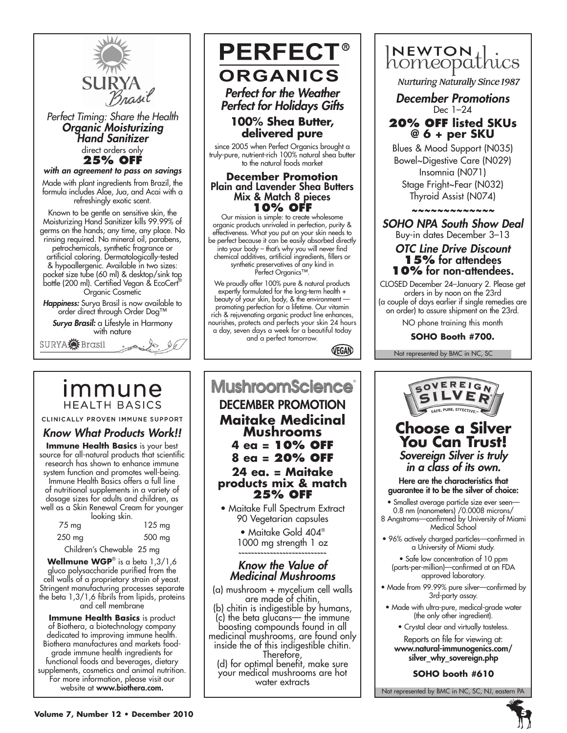

*Perfect Timing: Share the Health Organic Moisturizing Hand Sanitizer* direct orders only **25% OFF**

*with an agreement to pass on savings*

Made with plant ingredients from Brazil, the formula includes Aloe, Jua, and Acai with a refreshingly exotic scent.

Known to be gentle on sensitive skin, the Moisturizing Hand Sanitizer kills 99.99% of germs on the hands; any time, any place. No rinsing required. No mineral oil, parabens, petrochemicals, synthetic fragrance or artificial coloring. Dermatologically-tested & hypoallergenic. Available in two sizes: pocket size tube (60 ml) & desktop/sink top bottle (200 ml). Certified Vegan & EcoCert® Organic Cosmetic

*Happiness:* Surya Brasil is now available to order direct through Order Dog™

*Surya Brasil:* a Lifestyle in Harmony with nature



# <u>Immune</u> **HEALTH BASICS**

CLINICALLY PROVEN IMMUNE SUPPORT

# *Know What Products Work!!*

**Immune Health Basics** is your best source for all-natural products that scientific research has shown to enhance immune system function and promotes well-being. Immune Health Basics offers a full line of nutritional supplements in a variety of dosage sizes for adults and children, as well as a Skin Renewal Cream for younger looking skin.

| $75 \text{ mg}$ | <b>NUMBER OF STREET</b> | $125 \text{ mg}$ |
|-----------------|-------------------------|------------------|
| 250 mg          |                         | 500 mg           |

Children's Chewable 25 mg

**Wellmune WGP**® is a beta 1,3/1,6 gluco polysaccharide purified from the cell walls of a proprietary strain of yeast. Stringent manufacturing processes separate the beta 1,3/1,6 fibrils from lipids, proteins and cell membrane

**Immune Health Basics** is product of Biothera, a biotechnology company dedicated to improving immune health. Biothera manufactures and markets foodgrade immune health ingredients for functional foods and beverages, dietary supplements, cosmetics and animal nutrition. For more information, please visit our website at www.biothera.com.

# **PERFECT® ORGANICS** *Perfect for the Weather*

*Perfect for Holidays Gifts*

### **100% Shea Butter, delivered pure**

since 2005 when Perfect Organics brought a truly-pure, nutrient-rich 100% natural shea butter to the natural foods market

#### **December Promotion** Plain and Lavender Shea Butters Mix & Match 8 pieces **10% OFF**

Our mission is simple: to create wholesome organic products unrivaled in perfection, purity & effectiveness. What you put on your skin needs to be perfect because it can be easily absorbed directly into your body – that's why you will never find chemical additives, artificial ingredients, fillers or synthetic preservatives of any kind in Perfect Organics™.

We proudly offer 100% pure & natural products expertly formulated for the long-term health + beauty of your skin, body, & the environment promoting perfection for a lifetime. Our vitamin rich & rejuvenating organic product line enhances, nourishes, protects and perfects your skin 24 hours a day, seven days a week for a beautiful today and a perfect tomorrow.

VEGAN

# **MushroomScience**® DECEMBER PROMOTION **Maitake Medicinal Mushrooms 4 ea = 10% off 8 ea = 20% off 24 ea. = Maitake products mix & match 25% off**

• Maitake Full Spectrum Extract 90 Vegetarian capsules

> • Maitake Gold 404® 1000 mg strength 1 oz ~~~~~~~~~~~~~~~~~~~~~~~~~~~~

# *Know the Value of Medicinal Mushrooms*

(a) mushroom + mycelium cell walls are made of chitin,<br>(b) chitin is indigestible by humans, (c) the beta glucans— the immune medicinal mushrooms, are found only<br>inside the of this indigestible chitin. Therefore,<br>indigestimal benefit, make sure) for optimal benefit, make sure

your medical mushrooms are hot water extracts



**Nurturing Naturally Since 1987** 

*December Promotions* Dec 1–24

### **20% off listed SKUs @ 6 + per SKU**

Blues & Mood Support (N035) Bowel~Digestive Care (N029) Insomnia (N071) Stage Fright~Fear (N032) Thyroid Assist (N074)

*~~~~~~~~~~~~~*

*SOHO NPA South Show Deal* Buy-in dates December 3–13

# *OTC Line Drive Discount* **15%** for attendees **10%** for non-attendees.

CLOSED December 24–January 2. Please get orders in by noon on the 23rd (a couple of days earlier if single remedies are on order) to assure shipment on the 23rd. NO phone training this month

**SOHO Booth #700.**

Not represented by BMC in NC, SC



(parts-per-million)—confirmed at an FDA approved laboratory.

- Made from 99.99% pure silver—confirmed by 3rd-party assay.
- Made with ultra-pure, medical-grade water (the only other ingredient).
	- Crystal clear and virtually tasteless.

Reports on file for viewing at: www.natural-immunogenics.com/ silver why sovereign.php

**SOHO booth #610**

Not represented by BMC in NC, SC, NJ, eastern PA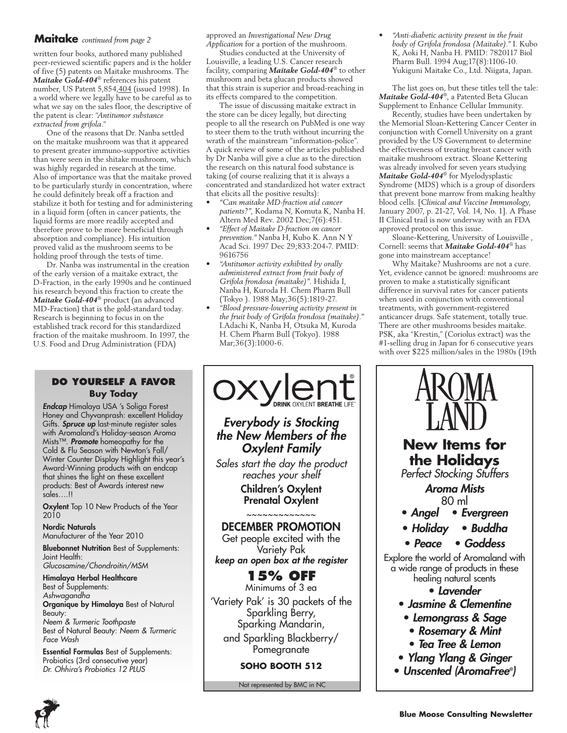# **Maitake** *continued from page 2*

written four books, authored many published peer-reviewed scientific papers and is the holder of five (5) patents on Maitake mushrooms. The *Maitake Gold-404*® references his patent number, US Patent 5,854,404 (issued 1998). In a world where we legally have to be careful as to what we say on the sales floor, the descriptive of the patent is clear: "*Antitumor substance extracted from grifola.*"

One of the reasons that Dr. Nanba settled on the maitake mushroom was that it appeared to present greater immuno-supportive activities than were seen in the shitake mushroom, which was highly regarded in research at the time. Also of importance was that the maitake proved to be particularly sturdy in concentration, where he could definitely break off a fraction and stabilize it both for testing and for administering in a liquid form (often in cancer patients, the liquid forms are more readily accepted and therefore prove to be more beneficial through absorption and compliance). His intuition proved valid as the mushroom seems to be holding proof through the tests of time.

Dr. Nanba was instrumental in the creation of the early version of a maitake extract, the D-Fraction, in the early 1990s and he continued his research beyond this fraction to create the *Maitake Gold-404*® product (an advanced MD-Fraction) that is the gold-standard today. Research is beginning to focus in on the established track record for this standardized fraction of the maitake mushroom. In 1997, the U.S. Food and Drug Administration (FDA)

### **do yourself a favor Buy Today**

*Endcap* Himalaya USA 's Soliga Forest Honey and Chyvanprash: excellent Holiday Gifts. *Spruce up* last-minute register sales with Aromaland's Holiday-season Aroma Mists™. *Promote* homeopathy for the Cold & Flu Season with Newton's Fall/ Winter Counter Display Highlight this year's Award-Winning products with an endcap that shines the light on these excellent products: Best of Awards interest new sales….!!

Oxylent Top 10 New Products of the Year 2010

Nordic Naturals Manufacturer of the Year 2010

Bluebonnet Nutrition Best of Supplements: Joint Health: *Glucosamine/Chondroitin/MSM*

Himalaya Herbal Healthcare Best of Supplements: *Ashwagandha* Organique by Himalaya Best of Natural Beauty: *Neem & Turmeric Toothpaste* Best of Natural Beauty: *Neem & Turmeric Face Wash*

Essential Formulas Best of Supplements: Probiotics (3rd consecutive year) *Dr. Ohhira's Probiotics 12 PLUS*

approved an *Investigational New Drug Application* for a portion of the mushroom.

Studies conducted at the University of Louisville, a leading U.S. Cancer research facility, comparing *Maitake Gold-404*® to other mushroom and beta glucan products showed that this strain is superior and broad-reaching in its effects compared to the competition.

The issue of discussing maitake extract in the store can be dicey legally, but directing people to all the research on PubMed is one way to steer them to the truth without incurring the wrath of the mainstream "information-police". A quick review of some of the articles published by Dr Nanba will give a clue as to the direction the research on this natural food substance is taking (of course realizing that it is always a concentrated and standardized hot water extract that elicits all the positive results):

- • *"Can maitake MD-fraction aid cancer patients?",* Kodama N, Komuta K, Nanba H. Altern Med Rev. 2002 Dec;7(6):451.
- • *"Effect of Maitake D-fraction on cancer prevention."* Nanba H, Kubo K. Ann N Y Acad Sci. 1997 Dec 29;833:204-7. PMID: 9616756
- • *"Antitumor activity exhibited by orally administered extract from fruit body of Grifola frondosa (maitake)".* Hishida I, Nanba H, Kuroda H. Chem Pharm Bull (Tokyo ). 1988 May;36(5):1819-27.
- • *"Blood pressure-lowering activity present in the fruit body of Grifola frondosa (maitake)."* I.Adachi K, Nanba H, Otsuka M, Kuroda H. Chem Pharm Bull (Tokyo). 1988 Mar;36(3):1000-6.



**SOHO BOOTH 512**

Not represented by BMC in NC

• *"Anti-diabetic activity present in the fruit body of Grifola frondosa (Maitake)."* I. Kubo K, Aoki H, Nanba H. PMID: 7820117 Biol Pharm Bull. 1994 Aug;17(8):1106-10. Yukiguni Maitake Co., Ltd. Niigata, Japan.

The list goes on, but these titles tell the tale: *Maitake Gold-404*®, a Patented Beta Glucan Supplement to Enhance Cellular Immunity.

Recently, studies have been undertaken by the Memorial Sloan-Kettering Cancer Center in conjunction with Cornell University on a grant provided by the US Government to determine the effectiveness of treating breast cancer with maitake mushroom extract. Sloane Kettering was already involved for seven years studying *Maitake Gold-404*® for Myelodysplastic Syndrome (MDS) which is a group of disorders that prevent bone marrow from making healthy blood cells. [*Clinical and Vaccine Immunology,*  January 2007, p. 21-27, Vol. 14, No. 1]. A Phase II Clinical trail is now underway with an FDA approved protocol on this issue.

Sloane-Kettering, University of Louisville , Cornell: seems that *Maitake Gold-404*® has gone into mainstream acceptance!

Why Maitake? Mushrooms are not a cure. Yet, evidence cannot be ignored: mushrooms are proven to make a statistically significant difference in survival rates for cancer patients when used in conjunction with conventional treatments, with government-registered anticancer drugs. Safe statement, totally true. There are other mushrooms besides maitake. PSK, aka "Krestin," (Coriolus extract) was the #1-selling drug in Japan for 6 consecutive years with over \$225 million/sales in the 1980s (19th



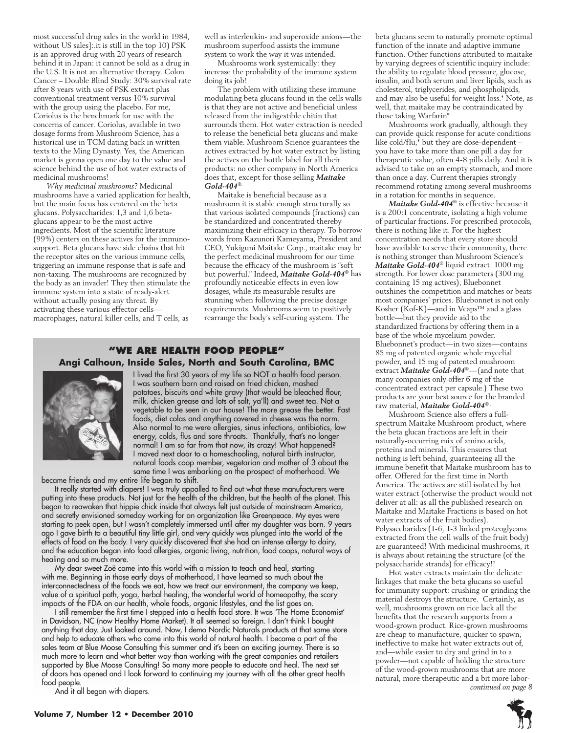most successful drug sales in the world in 1984, without US sales]:.it is still in the top 10) PSK is an approved drug with 20 years of research behind it in Japan: it cannot be sold as a drug in the U.S. It is not an alternative therapy. Colon Cancer – Double Blind Study: 30% survival rate after 8 years with use of PSK extract plus conventional treatment versus 10% survival with the group using the placebo. For me, Coriolus is the benchmark for use with the concerns of cancer. Coriolus, available in two dosage forms from Mushroom Science, has a historical use in TCM dating back in written texts to the Ming Dynasty. Yes, the American market is gonna open one day to the value and science behind the use of hot water extracts of medicinal mushrooms!

*Why medicinal mushrooms?* Medicinal mushrooms have a varied application for health, but the main focus has centered on the beta glucans. Polysaccharides: 1,3 and 1,6 betaglucans appear to be the most active ingredients. Most of the scientific literature (99%) centers on these actives for the immunosupport. Beta glucans have side chains that hit the receptor sites on the various immune cells, triggering an immune response that is safe and non-taxing. The mushrooms are recognized by the body as an invader! They then stimulate the immune system into a state of ready-alert without actually posing any threat. By activating these various effector cells macrophages, natural killer cells, and T cells, as

well as interleukin- and superoxide anions—the mushroom superfood assists the immune system to work the way it was intended.

Mushrooms work systemically: they increase the probability of the immune system doing its job!

The problem with utilizing these immune modulating beta glucans found in the cells walls is that they are not active and beneficial unless released from the indigestible chitin that surrounds them. Hot water extraction is needed to release the beneficial beta glucans and make them viable. Mushroom Science guarantees the actives extracted by hot water extract by listing the actives on the bottle label for all their products: no other company in North America does that, except for those selling *Maitake Gold-404*®.

Maitake is beneficial because as a mushroom it is stable enough structurally so that various isolated compounds (fractions) can be standardized and concentrated thereby maximizing their efficacy in therapy. To borrow words from Kazunori Kameyama, President and CEO, Yukiguni Maitake Corp., maitake may be the perfect medicinal mushroom for our time because the efficacy of the mushroom is "soft but powerful." Indeed, *Maitake Gold-404*® has profoundly noticeable effects in even low dosages, while its measurable results are stunning when following the precise dosage requirements. Mushrooms seem to positively rearrange the body's self-curing system. The

### **"We Are health food people" Angi Calhoun, Inside Sales, North and South Carolina, BMC**



 I lived the first 30 years of my life so NOT a health food person. I was southern born and raised on fried chicken, mashed potatoes, biscuits and white gravy (that would be bleached flour, milk, chicken grease and lots of salt, ya'll) and sweet tea. Not a vegetable to be seen in our house! The more grease the better. Fast foods, diet colas and anything covered in cheese was the norm. Also normal to me were allergies, sinus infections, antibiotics, low energy, colds, flus and sore throats. Thankfully, that's no longer normal! I am so far from that now, its crazy! What happened? I moved next door to a homeschooling, natural birth instructor, natural foods coop member, vegetarian and mother of 3 about the same time I was embarking on the prospect of motherhood. We

became friends and my entire life began to shift.

It really started with diapers! I was truly appalled to find out what these manufacturers were putting into these products. Not just for the health of the children, but the health of the planet. This began to reawaken that hippie chick inside that always felt just outside of mainstream America, and secretly envisioned someday working for an organization like Greenpeace. My eyes were starting to peek open, but I wasn't completely immersed until after my daughter was born. 9 years ago I gave birth to a beautiful tiny little girl, and very quickly was plunged into the world of the effects of food on the body. I very quickly discovered that she had an intense allergy to dairy, and the education began into food allergies, organic living, nutrition, food coops, natural ways of healing and so much more.

My dear sweet Zoë came into this world with a mission to teach and heal, starting with me. Beginning in those early days of motherhood, I have learned so much about the interconnectedness of the foods we eat, how we treat our environment, the company we keep, value of a spiritual path, yoga, herbal healing, the wonderful world of homeopathy, the scary impacts of the FDA on our health, whole foods, organic lifestyles, and the list goes on.

I still remember the first time I stepped into a health food store. It was 'The Home Economist' in Davidson, NC (now Healthy Home Market). It all seemed so foreign. I don't think I bought anything that day. Just looked around. Now, I demo Nordic Naturals products at that same store and help to educate others who come into this world of natural health. I became a part of the sales team at Blue Moose Consulting this summer and it's been an exciting journey. There is so much more to learn and what better way than working with the great companies and retailers supported by Blue Moose Consulting! So many more people to educate and heal. The next set of doors has opened and I look forward to continuing my journey with all the other great health food people. And it all began with diapers. *continued on page 8*

beta glucans seem to naturally promote optimal function of the innate and adaptive immune function. Other functions attributed to maitake by varying degrees of scientific inquiry include: the ability to regulate blood pressure, glucose, insulin, and both serum and liver lipids, such as cholesterol, triglycerides, and phospholipids, and may also be useful for weight loss.\* Note, as well, that maitake may be contraindicated by those taking Warfarin\*

Mushrooms work gradually, although they can provide quick response for acute conditions like cold/flu,\* but they are dose-dependent – you have to take more than one pill a day for therapeutic value, often 4-8 pills daily. And it is advised to take on an empty stomach, and more than once a day. Current therapies strongly recommend rotating among several mushrooms in a rotation for months in sequence.

*Maitake Gold-404*® is effective because it is a 200:1 concentrate, isolating a high volume of particular fractions. For prescribed protocols, there is nothing like it. For the highest concentration needs that every store should have available to serve their community, there is nothing stronger than Mushroom Science's *Maitake Gold-404*® liquid extract. 1000 mg strength. For lower dose parameters (300 mg containing 15 mg actives), Bluebonnet outshines the competition and matches or beats most companies' prices. Bluebonnet is not only Kosher (Kof-K)—and in Vcaps™ and a glass bottle—but they provide aid to the standardized fractions by offering them in a base of the whole mycelium powder. Bluebonnet's product—in two sizes—contains 85 mg of patented organic whole mycelial powder, and 15 mg of patented mushroom extract *Maitake Gold-404*®—(and note that many companies only offer 6 mg of the concentrated extract per capsule.) These two products are your best source for the branded raw material, *Maitake Gold-404*® .

Mushroom Science also offers a fullspectrum Maitake Mushroom product, where the beta glucan fractions are left in their naturally-occurring mix of amino acids, proteins and minerals. This ensures that nothing is left behind, guaranteeing all the immune benefit that Maitake mushroom has to offer. Offered for the first time in North America. The actives are still isolated by hot water extract (otherwise the product would not deliver at all: as all the published research on Maitake and Maitake Fractions is based on hot water extracts of the fruit bodies). Polysaccharides (1-6, 1-3 linked proteoglycans extracted from the cell walls of the fruit body) are guaranteed! With medicinal mushrooms, it is always about retaining the structure (of the polysaccharide strands) for efficacy!!

Hot water extracts maintain the delicate linkages that make the beta glucans so useful for immunity support: crushing or grinding the material destroys the structure. Certainly, as well, mushrooms grown on rice lack all the benefits that the research supports from a wood-grown product. Rice-grown mushrooms are cheap to manufacture, quicker to spawn, ineffective to make hot water extracts out of, and—while easier to dry and grind in to a powder—not capable of holding the structure of the wood-grown mushrooms that are more natural, more therapeutic and a bit more labor-